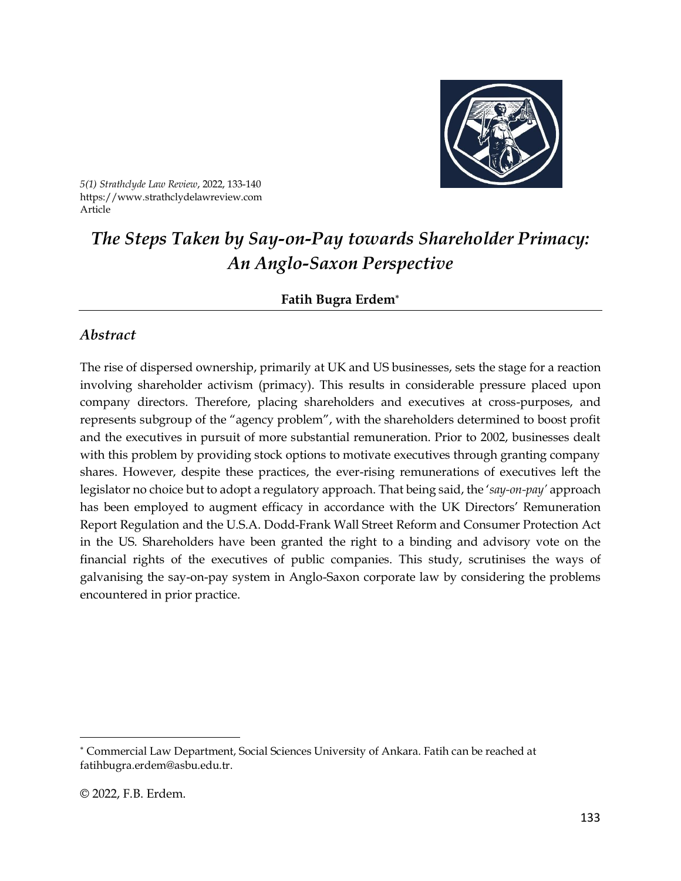

*5(1) Strathclyde Law Review*, 2022, 133-140 https://www.strathclydelawreview.com Article

# *The Steps Taken by Say-on-Pay towards Shareholder Primacy: An Anglo-Saxon Perspective*

**Fatih Bugra Erdem**

#### *Abstract*

The rise of dispersed ownership, primarily at UK and US businesses, sets the stage for a reaction involving shareholder activism (primacy). This results in considerable pressure placed upon company directors. Therefore, placing shareholders and executives at cross-purposes, and represents subgroup of the "agency problem", with the shareholders determined to boost profit and the executives in pursuit of more substantial remuneration. Prior to 2002, businesses dealt with this problem by providing stock options to motivate executives through granting company shares. However, despite these practices, the ever-rising remunerations of executives left the legislator no choice but to adopt a regulatory approach. That being said, the '*say-on-pay'* approach has been employed to augment efficacy in accordance with the UK Directors' Remuneration Report Regulation and the U.S.A. Dodd-Frank Wall Street Reform and Consumer Protection Act in the US. Shareholders have been granted the right to a binding and advisory vote on the financial rights of the executives of public companies. This study, scrutinises the ways of galvanising the say-on-pay system in Anglo-Saxon corporate law by considering the problems encountered in prior practice.

Commercial Law Department, Social Sciences University of Ankara. Fatih can be reached at [fatihbugra.erdem@asbu.edu.tr.](mailto:fatihbugra.erdem@asbu.edu.tr)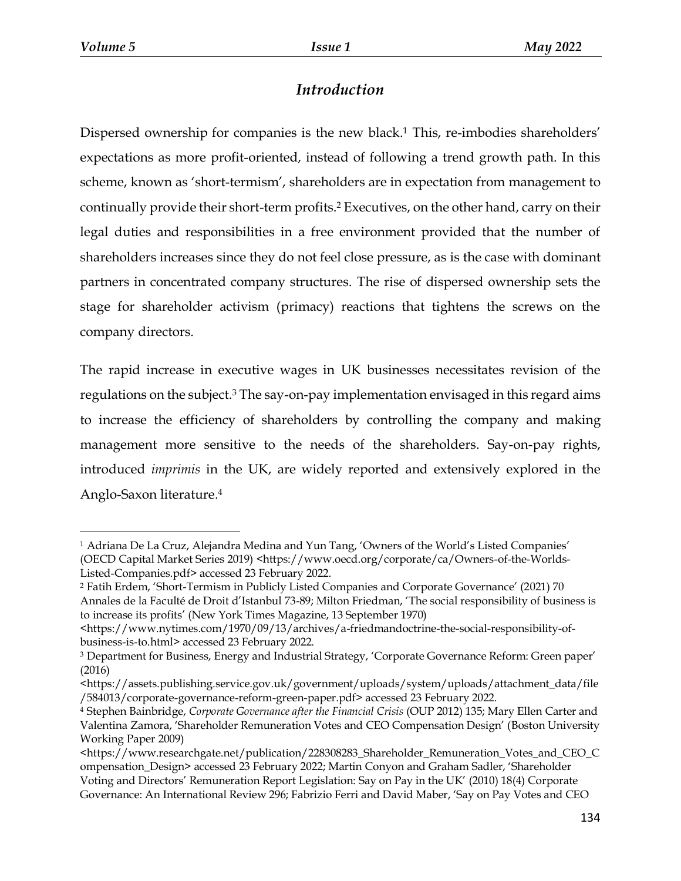## *Introduction*

Dispersed ownership for companies is the new black. <sup>1</sup> This, re-imbodies shareholders' expectations as more profit-oriented, instead of following a trend growth path. In this scheme, known as 'short-termism', shareholders are in expectation from management to continually provide their short-term profits.<sup>2</sup> Executives, on the other hand, carry on their legal duties and responsibilities in a free environment provided that the number of shareholders increases since they do not feel close pressure, as is the case with dominant partners in concentrated company structures. The rise of dispersed ownership sets the stage for shareholder activism (primacy) reactions that tightens the screws on the company directors.

The rapid increase in executive wages in UK businesses necessitates revision of the regulations on the subject.<sup>3</sup> The say-on-pay implementation envisaged in this regard aims to increase the efficiency of shareholders by controlling the company and making management more sensitive to the needs of the shareholders. Say-on-pay rights, introduced *imprimis* in the UK, are widely reported and extensively explored in the Anglo-Saxon literature. 4

 $\overline{a}$ <sup>1</sup> Adriana De La Cruz, Alejandra Medina and Yun Tang, 'Owners of the World's Listed Companies' (OECD Capital Market Series 2019) <https://www.oecd.org/corporate/ca/Owners-of-the-Worlds-Listed-Companies.pdf> accessed 23 February 2022.

<sup>2</sup> Fatih Erdem, 'Short-Termism in Publicly Listed Companies and Corporate Governance' (2021) 70 Annales de la Faculté de Droit d'Istanbul 73-89; Milton Friedman, 'The social responsibility of business is to increase its profits' (New York Times Magazine, 13 September 1970)

<sup>&</sup>lt;https://www.nytimes.com/1970/09/13/archives/a-friedmandoctrine-the-social-responsibility-ofbusiness-is-to.html> accessed 23 February 2022.

<sup>3</sup> Department for Business, Energy and Industrial Strategy, 'Corporate Governance Reform: Green paper' (2016)

<sup>&</sup>lt;https://assets.publishing.service.gov.uk/government/uploads/system/uploads/attachment\_data/file /584013/corporate-governance-reform-green-paper.pdf> accessed 23 February 2022.

<sup>4</sup> Stephen Bainbridge, *Corporate Governance after the Financial Crisis* (OUP 2012) 135; Mary Ellen Carter and Valentina Zamora, 'Shareholder Remuneration Votes and CEO Compensation Design' (Boston University Working Paper 2009)

<sup>&</sup>lt;https://www.researchgate.net/publication/228308283\_Shareholder\_Remuneration\_Votes\_and\_CEO\_C ompensation\_Design> accessed 23 February 2022; Martin Conyon and Graham Sadler, 'Shareholder Voting and Directors' Remuneration Report Legislation: Say on Pay in the UK' (2010) 18(4) Corporate

Governance: An International Review 296; Fabrizio Ferri and David Maber, 'Say on Pay Votes and CEO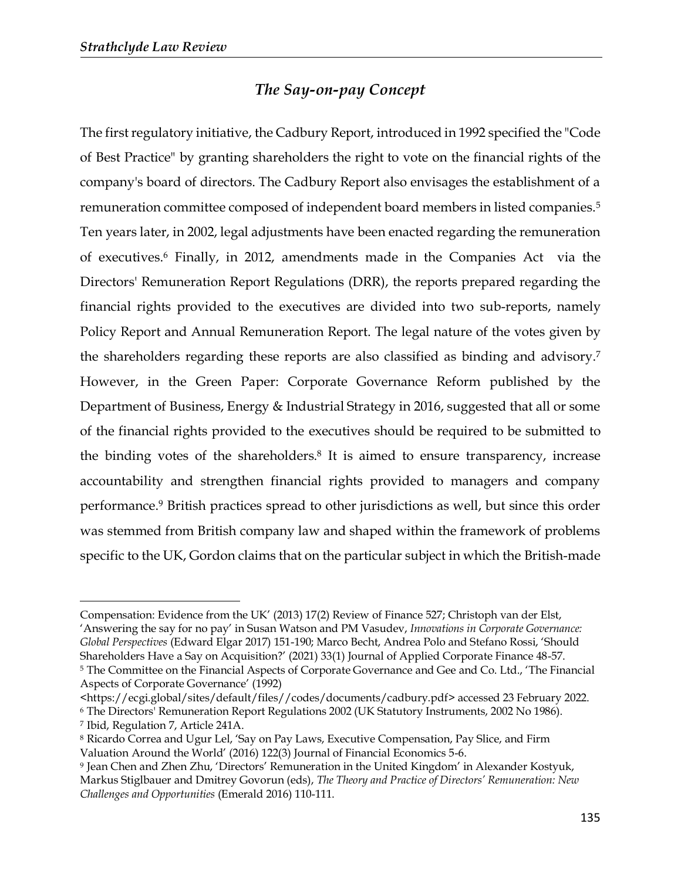### *The Say-on-pay Concept*

The first regulatory initiative, the Cadbury Report, introduced in 1992 specified the "Code of Best Practice" by granting shareholders the right to vote on the financial rights of the company's board of directors. The Cadbury Report also envisages the establishment of a remuneration committee composed of independent board members in listed companies.<sup>5</sup> Ten years later, in 2002, legal adjustments have been enacted regarding the remuneration of executives.<sup>6</sup> Finally, in 2012, amendments made in the Companies Act via the Directors' Remuneration Report Regulations (DRR), the reports prepared regarding the financial rights provided to the executives are divided into two sub-reports, namely Policy Report and Annual Remuneration Report. The legal nature of the votes given by the shareholders regarding these reports are also classified as binding and advisory.<sup>7</sup> However, in the Green Paper: Corporate Governance Reform published by the Department of Business, Energy & Industrial Strategy in 2016, suggested that all or some of the financial rights provided to the executives should be required to be submitted to the binding votes of the shareholders. 8 It is aimed to ensure transparency, increase accountability and strengthen financial rights provided to managers and company performance. <sup>9</sup> British practices spread to other jurisdictions as well, but since this order was stemmed from British company law and shaped within the framework of problems specific to the UK, Gordon claims that on the particular subject in which the British-made

Shareholders Have a Say on Acquisition?' (2021) 33(1) Journal of Applied Corporate Finance 48-57.

Compensation: Evidence from the UK' (2013) 17(2) Review of Finance 527; Christoph van der Elst, 'Answering the say for no pay' in Susan Watson and PM Vasudev, *Innovations in Corporate Governance: Global Perspectives* (Edward Elgar 2017) 151-190; Marco Becht, Andrea Polo and Stefano Rossi, 'Should

<sup>5</sup> The Committee on the Financial Aspects of Corporate Governance and Gee and Co. Ltd., 'The Financial Aspects of Corporate Governance' (1992)

<sup>&</sup>lt;https://ecgi.global/sites/default/files//codes/documents/cadbury.pdf> accessed 23 February 2022. <sup>6</sup> The Directors' Remuneration Report Regulations 2002 (UK Statutory Instruments, 2002 No 1986).

<sup>7</sup> Ibid, Regulation 7, Article 241A.

<sup>8</sup> Ricardo Correa and Ugur Lel, 'Say on Pay Laws, Executive Compensation, Pay Slice, and Firm Valuation Around the World' (2016) 122(3) Journal of Financial Economics 5-6.

<sup>9</sup> Jean Chen and Zhen Zhu, 'Directors' Remuneration in the United Kingdom' in Alexander Kostyuk, Markus Stiglbauer and Dmitrey Govorun (eds), *The Theory and Practice of Directors' Remuneration: New Challenges and Opportunities* (Emerald 2016) 110-111.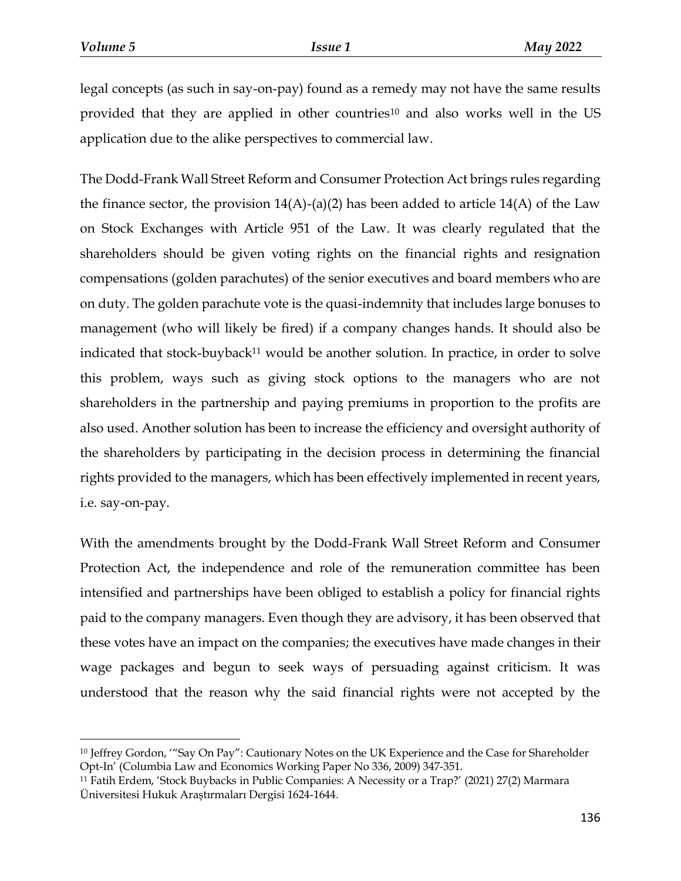$\overline{a}$ 

legal concepts (as such in say-on-pay) found as a remedy may not have the same results provided that they are applied in other countries<sup>10</sup> and also works well in the US application due to the alike perspectives to commercial law.

The Dodd-Frank Wall Street Reform and Consumer Protection Act brings rules regarding the finance sector, the provision  $14(A)$ -(a)(2) has been added to article  $14(A)$  of the Law on Stock Exchanges with Article 951 of the Law. It was clearly regulated that the shareholders should be given voting rights on the financial rights and resignation compensations (golden parachutes) of the senior executives and board members who are on duty. The golden parachute vote is the quasi-indemnity that includes large bonuses to management (who will likely be fired) if a company changes hands. It should also be indicated that stock-buyback<sup>11</sup> would be another solution. In practice, in order to solve this problem, ways such as giving stock options to the managers who are not shareholders in the partnership and paying premiums in proportion to the profits are also used. Another solution has been to increase the efficiency and oversight authority of the shareholders by participating in the decision process in determining the financial rights provided to the managers, which has been effectively implemented in recent years, i.e. say-on-pay.

With the amendments brought by the Dodd-Frank Wall Street Reform and Consumer Protection Act, the independence and role of the remuneration committee has been intensified and partnerships have been obliged to establish a policy for financial rights paid to the company managers. Even though they are advisory, it has been observed that these votes have an impact on the companies; the executives have made changes in their wage packages and begun to seek ways of persuading against criticism. It was understood that the reason why the said financial rights were not accepted by the

<sup>10</sup> Jeffrey Gordon, '"Say On Pay": Cautionary Notes on the UK Experience and the Case for Shareholder Opt-In' (Columbia Law and Economics Working Paper No 336, 2009) 347-351.

<sup>11</sup> Fatih Erdem, 'Stock Buybacks in Public Companies: A Necessity or a Trap?' (2021) 27(2) Marmara Üniversitesi Hukuk Araştırmaları Dergisi 1624-1644.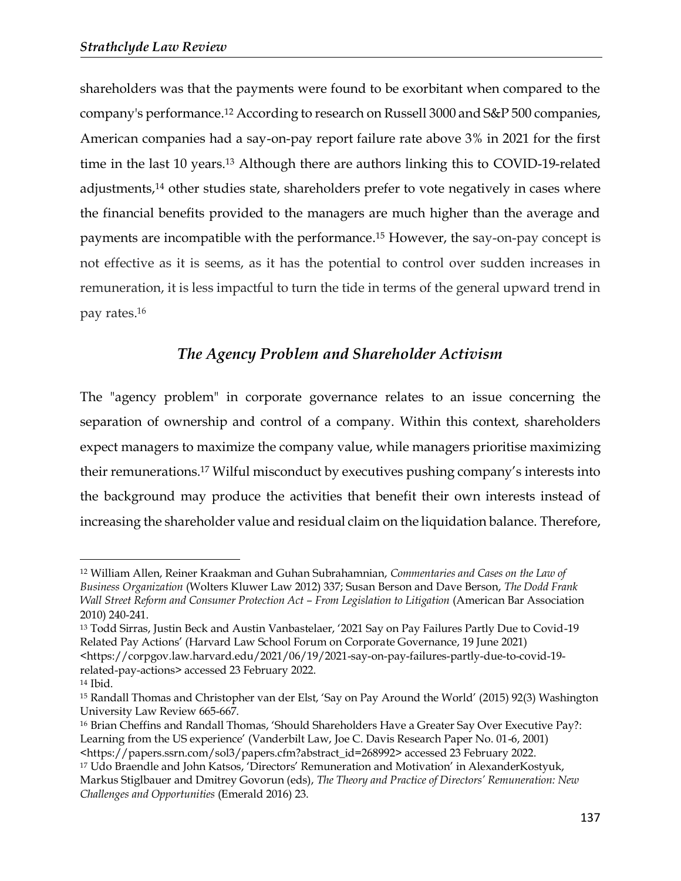shareholders was that the payments were found to be exorbitant when compared to the company's performance. <sup>12</sup> According to research on Russell 3000 and S&P 500 companies, American companies had a say-on-pay report failure rate above 3% in 2021 for the first time in the last 10 years.<sup>13</sup> Although there are authors linking this to COVID-19-related adjustments,<sup>14</sup> other studies state, shareholders prefer to vote negatively in cases where the financial benefits provided to the managers are much higher than the average and payments are incompatible with the performance. <sup>15</sup> However, the say-on-pay concept is not effective as it is seems, as it has the potential to control over sudden increases in remuneration, it is less impactful to turn the tide in terms of the general upward trend in pay rates. 16

#### *The Agency Problem and Shareholder Activism*

The "agency problem" in corporate governance relates to an issue concerning the separation of ownership and control of a company. Within this context, shareholders expect managers to maximize the company value, while managers prioritise maximizing their remunerations.<sup>17</sup> Wilful misconduct by executives pushing company's interests into the background may produce the activities that benefit their own interests instead of increasing the shareholder value and residual claim on the liquidation balance. Therefore,

 $\overline{a}$ 

<sup>16</sup> Brian Cheffins and Randall Thomas, 'Should Shareholders Have a Greater Say Over Executive Pay?: Learning from the US experience' (Vanderbilt Law, Joe C. Davis Research Paper No. 01-6, 2001) <https://papers.ssrn.com/sol3/papers.cfm?abstract\_id=268992> accessed 23 February 2022.

<sup>12</sup> William Allen, Reiner Kraakman and Guhan Subrahamnian, *Commentaries and Cases on the Law of Business Organization* (Wolters Kluwer Law 2012) 337; Susan Berson and Dave Berson, *The Dodd Frank Wall Street Reform and Consumer Protection Act – From Legislation to Litigation* (American Bar Association 2010) 240-241.

<sup>13</sup> Todd Sirras, Justin Beck and Austin Vanbastelaer, '2021 Say on Pay Failures Partly Due to Covid-19 Related Pay Actions' (Harvard Law School Forum on Corporate Governance, 19 June 2021) <https://corpgov.law.harvard.edu/2021/06/19/2021-say-on-pay-failures-partly-due-to-covid-19 related-pay-actions> accessed 23 February 2022.

<sup>14</sup> Ibid.

<sup>15</sup> Randall Thomas and Christopher van der Elst, 'Say on Pay Around the World' (2015) 92(3) Washington University Law Review 665-667.

<sup>17</sup> Udo Braendle and John Katsos, 'Directors' Remuneration and Motivation' in AlexanderKostyuk, Markus Stiglbauer and Dmitrey Govorun (eds), *The Theory and Practice of Directors' Remuneration: New Challenges and Opportunities* (Emerald 2016) 23.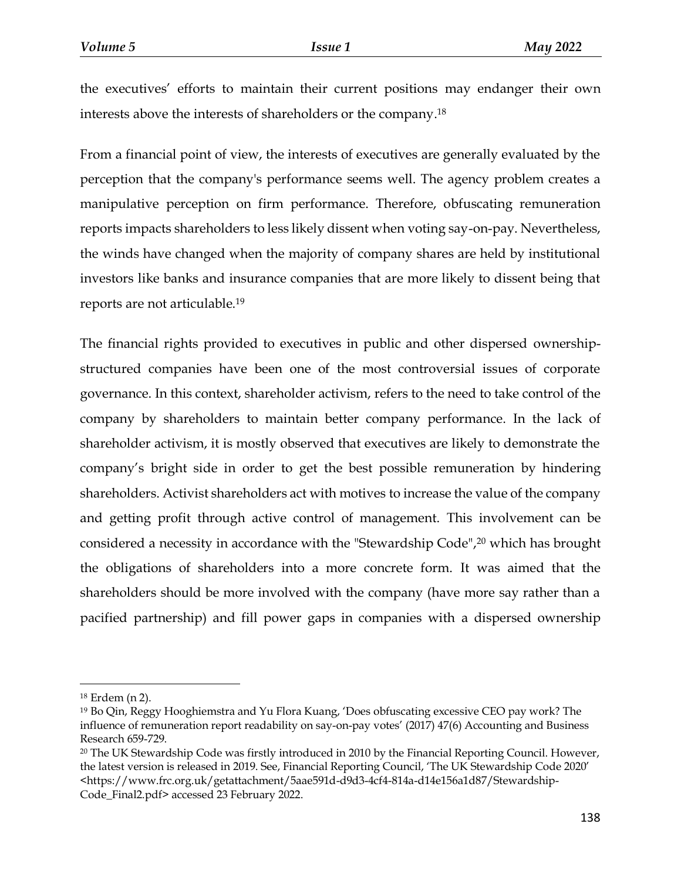the executives' efforts to maintain their current positions may endanger their own interests above the interests of shareholders or the company. 18

From a financial point of view, the interests of executives are generally evaluated by the perception that the company's performance seems well. The agency problem creates a manipulative perception on firm performance. Therefore, obfuscating remuneration reports impacts shareholders to less likely dissent when voting say-on-pay. Nevertheless, the winds have changed when the majority of company shares are held by institutional investors like banks and insurance companies that are more likely to dissent being that reports are not articulable.<sup>19</sup>

The financial rights provided to executives in public and other dispersed ownershipstructured companies have been one of the most controversial issues of corporate governance. In this context, shareholder activism, refers to the need to take control of the company by shareholders to maintain better company performance. In the lack of shareholder activism, it is mostly observed that executives are likely to demonstrate the company's bright side in order to get the best possible remuneration by hindering shareholders. Activist shareholders act with motives to increase the value of the company and getting profit through active control of management. This involvement can be considered a necessity in accordance with the "Stewardship Code",<sup>20</sup> which has brought the obligations of shareholders into a more concrete form. It was aimed that the shareholders should be more involved with the company (have more say rather than a pacified partnership) and fill power gaps in companies with a dispersed ownership

<sup>18</sup> Erdem (n 2).

<sup>19</sup> Bo Qin, Reggy Hooghiemstra and Yu Flora Kuang, 'Does obfuscating excessive CEO pay work? The influence of remuneration report readability on say-on-pay votes' (2017) 47(6) Accounting and Business Research 659-729.

<sup>20</sup> The UK Stewardship Code was firstly introduced in 2010 by the Financial Reporting Council. However, the latest version is released in 2019. See, Financial Reporting Council, 'The UK Stewardship Code 2020' <https://www.frc.org.uk/getattachment/5aae591d-d9d3-4cf4-814a-d14e156a1d87/Stewardship-Code\_Final2.pdf> accessed 23 February 2022.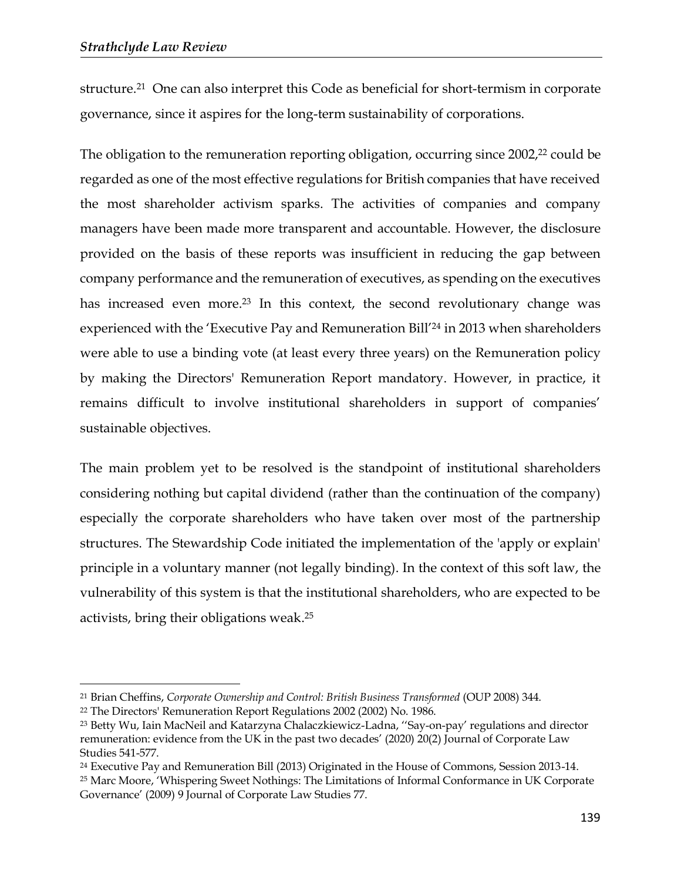structure.<sup>21</sup> One can also interpret this Code as beneficial for short-termism in corporate governance, since it aspires for the long-term sustainability of corporations.

The obligation to the remuneration reporting obligation, occurring since 2002,<sup>22</sup> could be regarded as one of the most effective regulations for British companies that have received the most shareholder activism sparks. The activities of companies and company managers have been made more transparent and accountable. However, the disclosure provided on the basis of these reports was insufficient in reducing the gap between company performance and the remuneration of executives, as spending on the executives has increased even more.<sup>23</sup> In this context, the second revolutionary change was experienced with the 'Executive Pay and Remuneration Bill'<sup>24</sup> in 2013 when shareholders were able to use a binding vote (at least every three years) on the Remuneration policy by making the Directors' Remuneration Report mandatory. However, in practice, it remains difficult to involve institutional shareholders in support of companies' sustainable objectives.

The main problem yet to be resolved is the standpoint of institutional shareholders considering nothing but capital dividend (rather than the continuation of the company) especially the corporate shareholders who have taken over most of the partnership structures. The Stewardship Code initiated the implementation of the 'apply or explain' principle in a voluntary manner (not legally binding). In the context of this soft law, the vulnerability of this system is that the institutional shareholders, who are expected to be activists, bring their obligations weak. 25

<sup>21</sup> Brian Cheffins, *Corporate Ownership and Control: British Business Transformed* (OUP 2008) 344.

<sup>22</sup> The Directors' Remuneration Report Regulations 2002 (2002) No. 1986.

<sup>23</sup> Betty Wu, Iain MacNeil and Katarzyna Chalaczkiewicz-Ladna, ''Say-on-pay' regulations and director remuneration: evidence from the UK in the past two decades' (2020) 20(2) Journal of Corporate Law Studies 541-577.

<sup>24</sup> Executive Pay and Remuneration Bill (2013) Originated in the House of Commons, Session 2013-14. <sup>25</sup> Marc Moore, 'Whispering Sweet Nothings: The Limitations of Informal Conformance in UK Corporate Governance' (2009) 9 Journal of Corporate Law Studies 77.